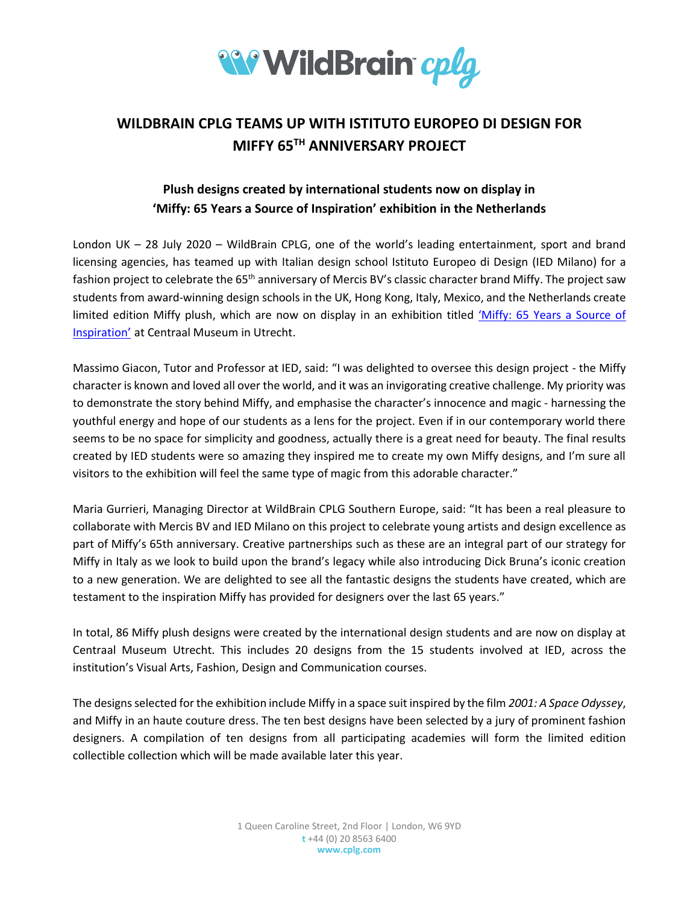

# **WILDBRAIN CPLG TEAMS UP WITH ISTITUTO EUROPEO DI DESIGN FOR MIFFY 65TH ANNIVERSARY PROJECT**

## **Plush designs created by international students now on display in 'Miffy: 65 Years a Source of Inspiration' exhibition in the Netherlands**

London UK – 28 July 2020 – WildBrain CPLG, one of the world's leading entertainment, sport and brand licensing agencies, has teamed up with Italian design school Istituto Europeo di Design (IED Milano) for a fashion project to celebrate the 65<sup>th</sup> anniversary of Mercis BV's classic character brand Miffy. The project saw students from award-winning design schools in the UK, Hong Kong, Italy, Mexico, and the Netherlands create limited edition Miffy plush, which are now on display in an exhibition titled 'Miffy: [65 Years a Source of](https://www.centraalmuseum.nl/en/exhibitions/nijntje-65)  [Inspiration'](https://www.centraalmuseum.nl/en/exhibitions/nijntje-65) at Centraal Museum in Utrecht.

Massimo Giacon, Tutor and Professor at IED, said: "I was delighted to oversee this design project - the Miffy character is known and loved all over the world, and it was an invigorating creative challenge. My priority was to demonstrate the story behind Miffy, and emphasise the character's innocence and magic - harnessing the youthful energy and hope of our students as a lens for the project. Even if in our contemporary world there seems to be no space for simplicity and goodness, actually there is a great need for beauty. The final results created by IED students were so amazing they inspired me to create my own Miffy designs, and I'm sure all visitors to the exhibition will feel the same type of magic from this adorable character."

Maria Gurrieri, Managing Director at WildBrain CPLG Southern Europe, said: "It has been a real pleasure to collaborate with Mercis BV and IED Milano on this project to celebrate young artists and design excellence as part of Miffy's 65th anniversary. Creative partnerships such as these are an integral part of our strategy for Miffy in Italy as we look to build upon the brand's legacy while also introducing Dick Bruna's iconic creation to a new generation. We are delighted to see all the fantastic designs the students have created, which are testament to the inspiration Miffy has provided for designers over the last 65 years."

In total, 86 Miffy plush designs were created by the international design students and are now on display at Centraal Museum Utrecht. This includes 20 designs from the 15 students involved at IED, across the institution's Visual Arts, Fashion, Design and Communication courses.

The designs selected for the exhibition include Miffy in a space suit inspired by the film *2001: A Space Odyssey*, and Miffy in an haute couture dress. The ten best designs have been selected by a jury of prominent fashion designers. A compilation of ten designs from all participating academies will form the limited edition collectible collection which will be made available later this year.